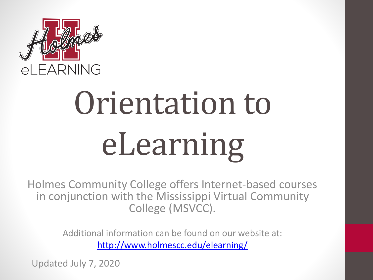

# Orientation to eLearning

Holmes Community College offers Internet-based courses in conjunction with the Mississippi Virtual Community College (MSVCC).

> Additional information can be found on our website at: <http://www.holmescc.edu/elearning/>

Updated July 7, 2020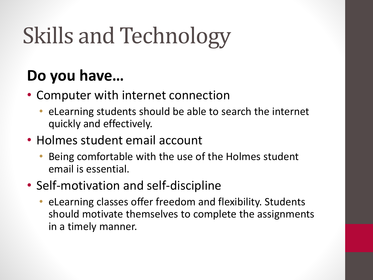## Skills and Technology

#### **Do you have…**

- Computer with internet connection
	- eLearning students should be able to search the internet quickly and effectively.
- Holmes student email account
	- Being comfortable with the use of the Holmes student email is essential.
- Self-motivation and self-discipline
	- eLearning classes offer freedom and flexibility. Students should motivate themselves to complete the assignments in a timely manner.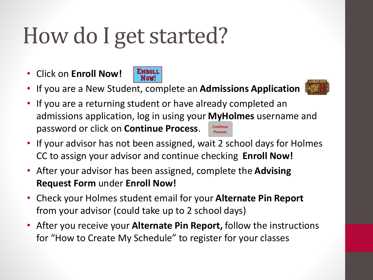#### How do I get started?

• Click on **Enroll Now!** 



• If you are a New Student, complete an **Admissions Application** 



- If you are a returning student or have already completed an admissions application, log in using your **[MyHo](https://hccapp.holmescc.edu/ruready_orientation/index.cfm?task=SubApp2)lmes** username and password or click on **Continue Process**. Continue **Process**
- If your advisor has not been assigned, wait 2 school days for Holmes CC to assign your advisor and continue checking **Enroll Now!**
- After your advisor has been assigned, complete the **Advising Request Form** under **Enroll Now!**
- Check your Holmes student email for your **Alternate Pin Report**  from your advisor (could take up to 2 school days)
- After you receive your **Alternate Pin Report,** follow the instructions for "How to Create My Schedule" to register for your classes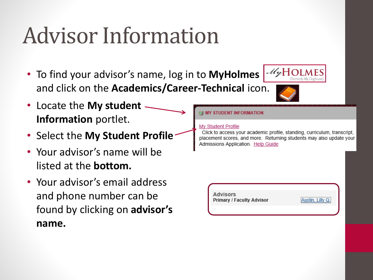### Advisor Information

- To find your advisor's name, log in to **MyHolmes** and click on the **Academics/Career-Technical** icon.
- Locate the **My student Information** portlet.
- Select the **My Student Profile**
- Your advisor's name will be listed at the **bottom.**
- Your advisor's email address and phone number can be found by clicking on **advisor's name.**





#### **EE MY STUDENT INFORMATION**

#### **My Student Profile**

Click to access your academic profile, standing, curriculum, transcript, placement scores, and more. Returning students may also update your Admissions Application. Help Guide

**Advisors Primary / Faculty Advisor** 

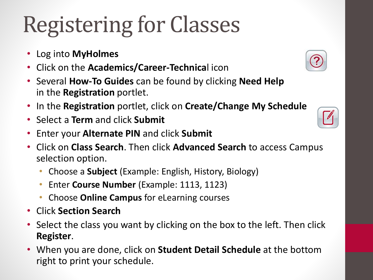## Registering for Classes

- Log into **MyHolmes**
- Click on the **Academics/Career-Technica**l icon
- Several **How-To Guides** can be found by clicking **Need Help**  in the **Registration** portlet.
- In the **Registration** portlet, click on **Create/Change My Schedule**
- Select a **Term** and click **Submit**
- Enter your **Alternate PIN** and click **Submit**
- Click on **Class Search**. Then click **Advanced Search** to access Campus selection option.
	- Choose a **Subject** (Example: English, History, Biology)
	- Enter **Course Number** (Example: 1113, 1123)
	- Choose **Online Campus** for eLearning courses
- Click **Section Search**
- Select the class you want by clicking on the box to the left. Then click **Register**.
- When you are done, click on **Student Detail Schedule** at the bottom right to print your schedule.



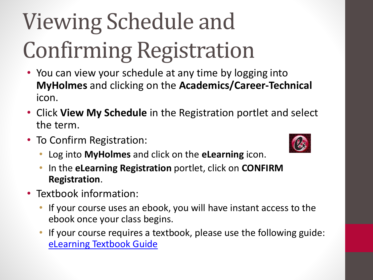# Viewing Schedule and Confirming Registration

- You can view your schedule at any time by logging into **MyHolmes** and clicking on the **Academics/Career-Technical** icon.
- Click **View My Schedule** in the Registration portlet and select the term.
- To Confirm Registration:



- Log into **MyHolmes** and click on the **eLearning** icon.
- In the **eLearning Registration** portlet, click on **CONFIRM Registration**.
- Textbook information:
	- If your course uses an ebook, you will have instant access to the ebook once your class begins.
	- If your course requires a textbook, please use the following guide: [eLearning Textbook Guide](http://www.holmescc.edu/pdf/elearning/Textbook Guide for Registered Courses.pdf)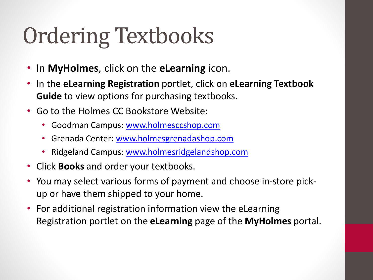### Ordering Textbooks

- In **MyHolmes**, click on the **eLearning** icon.
- In the **eLearning Registration** portlet, click on **eLearning Textbook Guide** to view options for purchasing textbooks.
- Go to the Holmes CC Bookstore Website:
	- Goodman Campus: [www.holmesccshop.com](http://www.holmesccshop.com/)
	- Grenada Center: [www.holmesgrenadashop.com](http://www.holmesgrenadashop.com/)
	- Ridgeland Campus: [www.holmesridgelandshop.com](http://www.holmesridgelandshop.com/)
- Click **Books** and order your textbooks.
- You may select various forms of payment and choose in-store pickup or have them shipped to your home.
- For additional registration information view the eLearning Registration portlet on the **eLearning** page of the **MyHolmes** portal.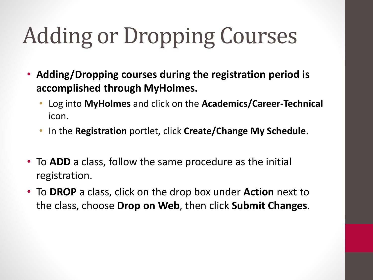### Adding or Dropping Courses

- **Adding/Dropping courses during the registration period is accomplished through MyHolmes.** 
	- Log into **MyHolmes** and click on the **Academics/Career-Technical** icon.
	- In the **Registration** portlet, click **Create/Change My Schedule**.
- To **ADD** a class, follow the same procedure as the initial registration.
- To **DROP** a class, click on the drop box under **Action** next to the class, choose **Drop on Web**, then click **Submit Changes**.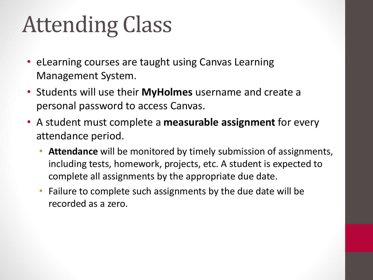#### Attending Class

- eLearning courses are taught using Canvas Learning Management System.
- Students will use their **MyHolmes** username and create a personal password to access Canvas.
- A student must complete a **measurable assignment** for every attendance period.
	- **Attendance** will be monitored by timely submission of assignments, including tests, homework, projects, etc. A student is expected to complete all assignments by the appropriate due date.
	- Failure to complete such assignments by the due date will be recorded as a zero.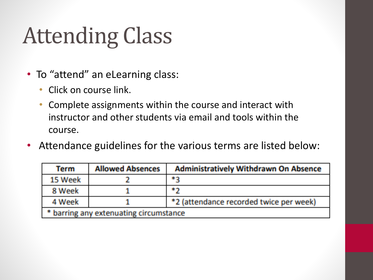#### Attending Class

- To "attend" an eLearning class:
	- Click on course link.
	- Complete assignments within the course and interact with instructor and other students via email and tools within the course.
- Attendance guidelines for the various terms are listed below:

| <b>Term</b>                            | <b>Allowed Absences</b> | <b>Administratively Withdrawn On Absence</b> |
|----------------------------------------|-------------------------|----------------------------------------------|
| 15 Week                                |                         | *2                                           |
| 8 Week                                 |                         | **                                           |
| 4 Week                                 |                         | *2 (attendance recorded twice per week)      |
| * barring any extenuating circumstance |                         |                                              |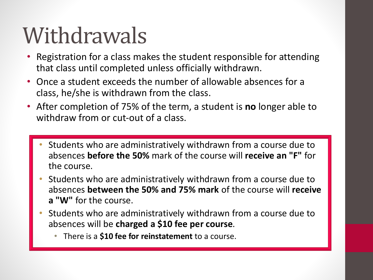#### **Withdrawals**

- Registration for a class makes the student responsible for attending that class until completed unless officially withdrawn.
- Once a student exceeds the number of allowable absences for a class, he/she is withdrawn from the class.
- After completion of 75% of the term, a student is **no** longer able to withdraw from or cut-out of a class.
	- Students who are administratively withdrawn from a course due to absences **before the 50%** mark of the course will **receive an "F"** for the course.
	- Students who are administratively withdrawn from a course due to absences **between the 50% and 75% mark** of the course will **receive a "W"** for the course.
	- Students who are administratively withdrawn from a course due to absences will be **charged a \$10 fee per course**.
		- There is a **\$10 fee for reinstatement** to a course.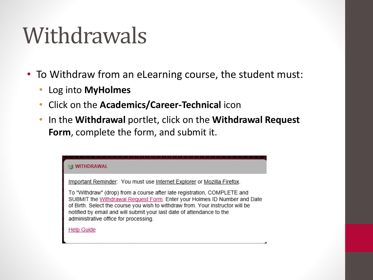#### **Withdrawals**

- To Withdraw from an eLearning course, the student must:
	- Log into **MyHolmes**
	- Click on the **Academics/Career-Technical** icon
	- In the **Withdrawal** portlet, click on the **Withdrawal Request Form**, complete the form, and submit it.

| <b>EE WITHDRAWAL</b>                                                                                                                                                                                                                                                                                                                                                                                                                             |
|--------------------------------------------------------------------------------------------------------------------------------------------------------------------------------------------------------------------------------------------------------------------------------------------------------------------------------------------------------------------------------------------------------------------------------------------------|
| Important Reminder: You must use Internet Explorer or Mozilla Firefox.<br>To "Withdraw" (drop) from a course after late registration, COMPLETE and<br>SUBMIT the Withdrawal Request Form. Enter your Holmes ID Number and Date<br>of Birth. Select the course you wish to withdraw from. Your instructor will be<br>notified by email and will submit your last date of attendance to the<br>administrative office for processing.<br>Help Guide |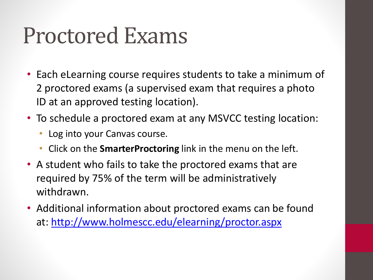#### Proctored Exams

- Each eLearning course requires students to take a minimum of 2 proctored exams (a supervised exam that requires a photo ID at an approved testing location).
- To schedule a proctored exam at any MSVCC testing location:
	- Log into your Canvas course.
	- Click on the **SmarterProctoring** link in the menu on the left.
- A student who fails to take the proctored exams that are required by 75% of the term will be administratively withdrawn.
- Additional information about proctored exams can be found at: <http://www.holmescc.edu/elearning/proctor.aspx>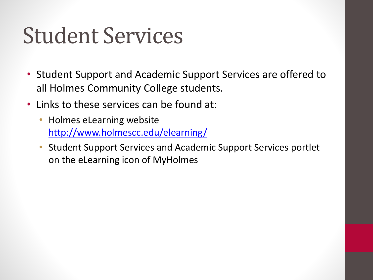#### Student Services

- Student Support and Academic Support Services are offered to all Holmes Community College students.
- Links to these services can be found at:
	- Holmes eLearning website <http://www.holmescc.edu/elearning/>
	- Student Support Services and Academic Support Services portlet on the eLearning icon of MyHolmes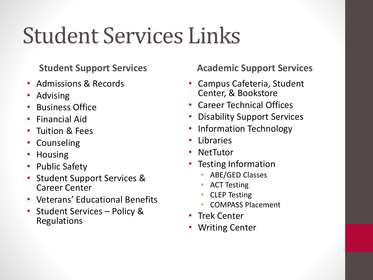#### Student Services Links

#### **Student Support Services**

- Admissions & Records
- Advising
- Business Office
- Financial Aid
- Tuition & Fees
- Counseling
- Housing
- Public Safety
- Student Support Services & Career Center
- Veterans' Educational Benefits
- Student Services Policy & Regulations

#### **Academic Support Services**

- Campus Cafeteria, Student Center, & Bookstore
- Career Technical Offices
- Disability Support Services
- Information Technology
- **Libraries**
- **NetTutor**
- Testing Information
	- ABE/GED Classes
	- ACT Testing
	- CLEP Testing
	- COMPASS Placement
- Trek Center
- Writing Center